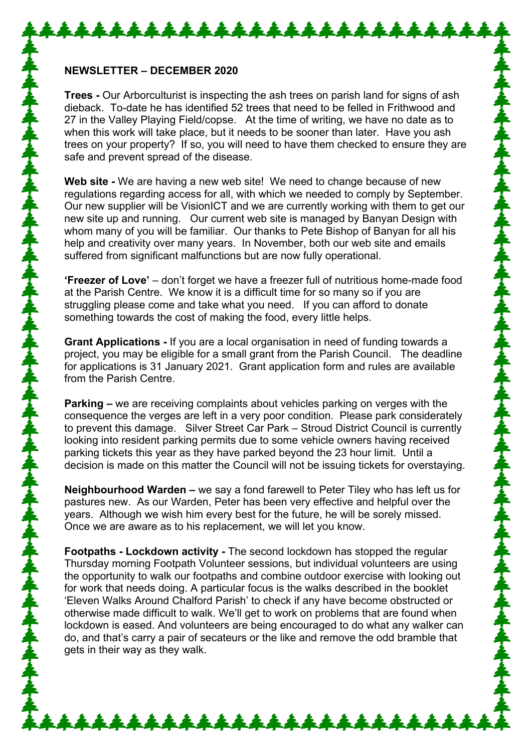## **NEWSLETTER – DECEMBER 2020**

**Trees -** Our Arborculturist is inspecting the ash trees on parish land for signs of ash dieback. To-date he has identified 52 trees that need to be felled in Frithwood and 27 in the Valley Playing Field/copse. At the time of writing, we have no date as to when this work will take place, but it needs to be sooner than later. Have you ash trees on your property? If so, you will need to have them checked to ensure they are safe and prevent spread of the disease.

**Web site -** We are having a new web site! We need to change because of new regulations regarding access for all, with which we needed to comply by September. Our new supplier will be VisionICT and we are currently working with them to get our new site up and running. Our current web site is managed by Banyan Design with whom many of you will be familiar. Our thanks to Pete Bishop of Banyan for all his help and creativity over many years. In November, both our web site and emails suffered from significant malfunctions but are now fully operational.

**'Freezer of Love'** – don't forget we have a freezer full of nutritious home-made food at the Parish Centre. We know it is a difficult time for so many so if you are struggling please come and take what you need. If you can afford to donate something towards the cost of making the food, every little helps.

**Grant Applications -** If you are a local organisation in need of funding towards a project, you may be eligible for a small grant from the Parish Council. The deadline for applications is 31 January 2021. Grant application form and rules are available from the Parish Centre.

**Parking –** we are receiving complaints about vehicles parking on verges with the consequence the verges are left in a very poor condition. Please park considerately to prevent this damage. Silver Street Car Park – Stroud District Council is currently looking into resident parking permits due to some vehicle owners having received parking tickets this year as they have parked beyond the 23 hour limit. Until a decision is made on this matter the Council will not be issuing tickets for overstaying.

**Neighbourhood Warden –** we say a fond farewell to Peter Tiley who has left us for pastures new. As our Warden, Peter has been very effective and helpful over the years. Although we wish him every best for the future, he will be sorely missed. Once we are aware as to his replacement, we will let you know.

**Footpaths - Lockdown activity -** The second lockdown has stopped the regular Thursday morning Footpath Volunteer sessions, but individual volunteers are using the opportunity to walk our footpaths and combine outdoor exercise with looking out for work that needs doing. A particular focus is the walks described in the booklet 'Eleven Walks Around Chalford Parish' to check if any have become obstructed or otherwise made difficult to walk. We'll get to work on problems that are found when lockdown is eased. And volunteers are being encouraged to do what any walker can do, and that's carry a pair of secateurs or the like and remove the odd bramble that gets in their way as they walk.

\*\*\*\*\*\*